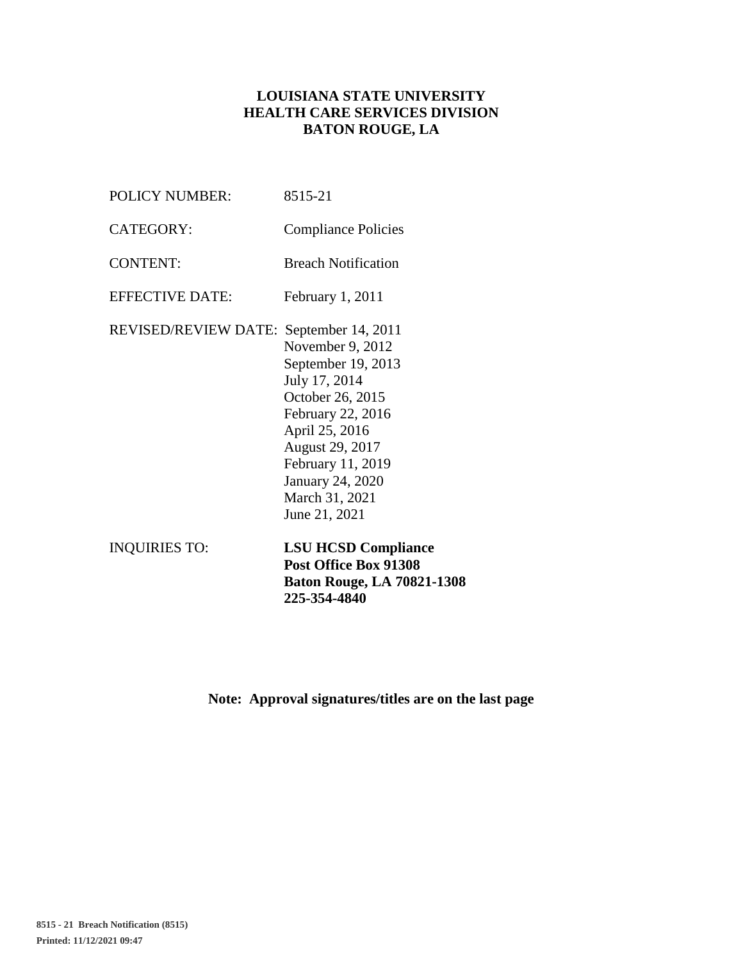# **LOUISIANA STATE UNIVERSITY HEALTH CARE SERVICES DIVISION BATON ROUGE, LA**

| <b>INQUIRIES TO:</b>                    | <b>LSU HCSD Compliance</b><br>Post Office Box 91308<br><b>Baton Rouge, LA 70821-1308</b><br>225-354-4840                                                                                                          |
|-----------------------------------------|-------------------------------------------------------------------------------------------------------------------------------------------------------------------------------------------------------------------|
| REVISED/REVIEW DATE: September 14, 2011 | November 9, 2012<br>September 19, 2013<br>July 17, 2014<br>October 26, 2015<br>February 22, 2016<br>April 25, 2016<br>August 29, 2017<br>February 11, 2019<br>January 24, 2020<br>March 31, 2021<br>June 21, 2021 |
|                                         |                                                                                                                                                                                                                   |
| <b>EFFECTIVE DATE:</b>                  | February 1, 2011                                                                                                                                                                                                  |
| <b>CONTENT:</b>                         | <b>Breach Notification</b>                                                                                                                                                                                        |
| CATEGORY:                               | <b>Compliance Policies</b>                                                                                                                                                                                        |
| <b>POLICY NUMBER:</b>                   | 8515-21                                                                                                                                                                                                           |

**Note: Approval signatures/titles are on the last page**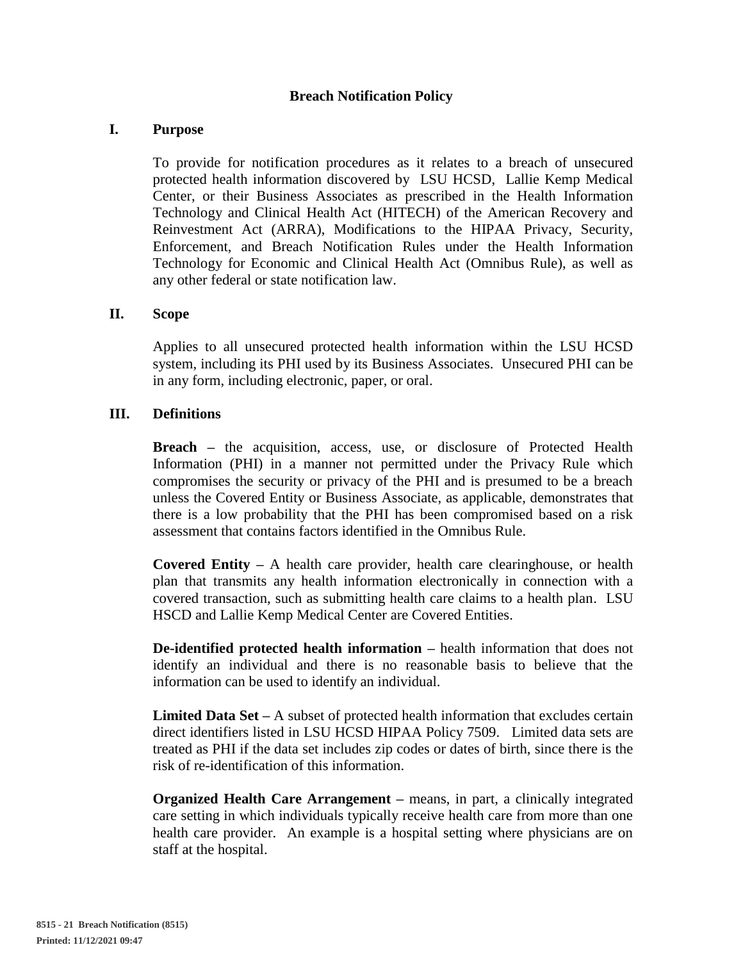### **Breach Notification Policy**

#### **I. Purpose**

To provide for notification procedures as it relates to a breach of unsecured protected health information discovered by LSU HCSD, Lallie Kemp Medical Center, or their Business Associates as prescribed in the Health Information Technology and Clinical Health Act (HITECH) of the American Recovery and Reinvestment Act (ARRA), Modifications to the HIPAA Privacy, Security, Enforcement, and Breach Notification Rules under the Health Information Technology for Economic and Clinical Health Act (Omnibus Rule), as well as any other federal or state notification law.

#### **II. Scope**

Applies to all unsecured protected health information within the LSU HCSD system, including its PHI used by its Business Associates. Unsecured PHI can be in any form, including electronic, paper, or oral.

#### **III. Definitions**

**Breach** – the acquisition, access, use, or disclosure of Protected Health Information (PHI) in a manner not permitted under the Privacy Rule which compromises the security or privacy of the PHI and is presumed to be a breach unless the Covered Entity or Business Associate, as applicable, demonstrates that there is a low probability that the PHI has been compromised based on a risk assessment that contains factors identified in the Omnibus Rule.

**Covered Entity –** A health care provider, health care clearinghouse, or health plan that transmits any health information electronically in connection with a covered transaction, such as submitting health care claims to a health plan. LSU HSCD and Lallie Kemp Medical Center are Covered Entities.

**De-identified protected health information –** health information that does not identify an individual and there is no reasonable basis to believe that the information can be used to identify an individual.

**Limited Data Set –** A subset of protected health information that excludes certain direct identifiers listed in LSU HCSD HIPAA Policy 7509. Limited data sets are treated as PHI if the data set includes zip codes or dates of birth, since there is the risk of re-identification of this information.

**Organized Health Care Arrangement –** means, in part, a clinically integrated care setting in which individuals typically receive health care from more than one health care provider. An example is a hospital setting where physicians are on staff at the hospital.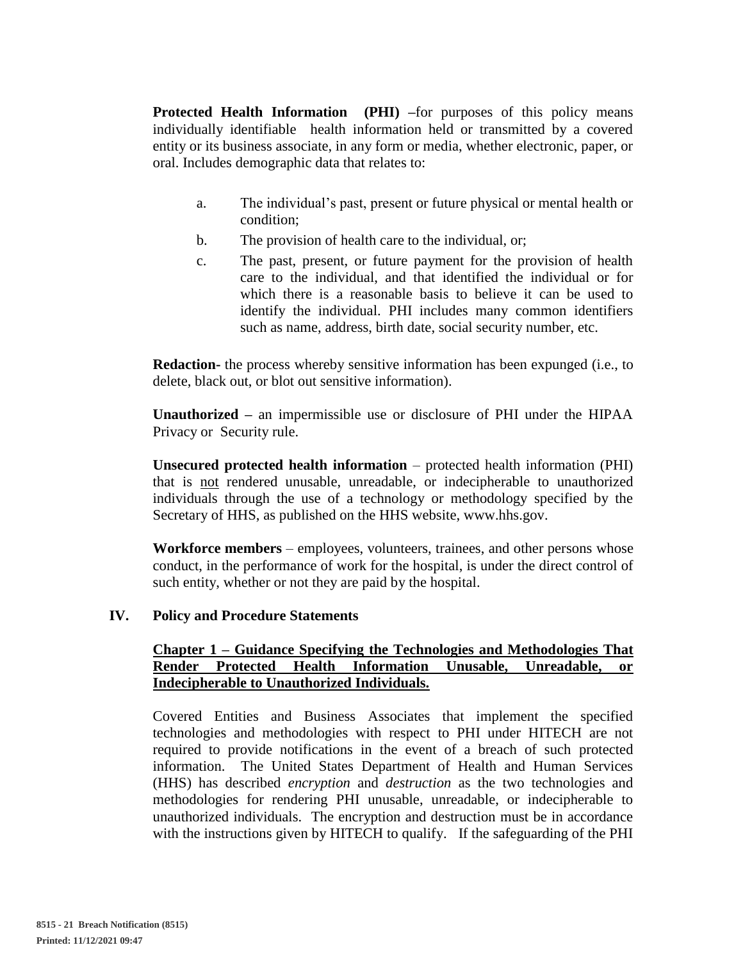**Protected Health Information (PHI)** –for purposes of this policy means individually identifiable health information held or transmitted by a covered entity or its business associate, in any form or media, whether electronic, paper, or oral. Includes demographic data that relates to:

- a. The individual's past, present or future physical or mental health or condition;
- b. The provision of health care to the individual, or;
- c. The past, present, or future payment for the provision of health care to the individual, and that identified the individual or for which there is a reasonable basis to believe it can be used to identify the individual. PHI includes many common identifiers such as name, address, birth date, social security number, etc.

**Redaction-** the process whereby sensitive information has been expunged (i.e., to delete, black out, or blot out sensitive information).

**Unauthorized –** an impermissible use or disclosure of PHI under the HIPAA Privacy or Security rule.

**Unsecured protected health information** – protected health information (PHI) that is not rendered unusable, unreadable, or indecipherable to unauthorized individuals through the use of a technology or methodology specified by the Secretary of HHS, as published on the HHS website, www.hhs.gov.

**Workforce members** – employees, volunteers, trainees, and other persons whose conduct, in the performance of work for the hospital, is under the direct control of such entity, whether or not they are paid by the hospital.

#### **IV. Policy and Procedure Statements**

### **Chapter 1 – Guidance Specifying the Technologies and Methodologies That Render Protected Health Information Unusable, Unreadable, or Indecipherable to Unauthorized Individuals.**

Covered Entities and Business Associates that implement the specified technologies and methodologies with respect to PHI under HITECH are not required to provide notifications in the event of a breach of such protected information. The United States Department of Health and Human Services (HHS) has described *encryption* and *destruction* as the two technologies and methodologies for rendering PHI unusable, unreadable, or indecipherable to unauthorized individuals. The encryption and destruction must be in accordance with the instructions given by HITECH to qualify. If the safeguarding of the PHI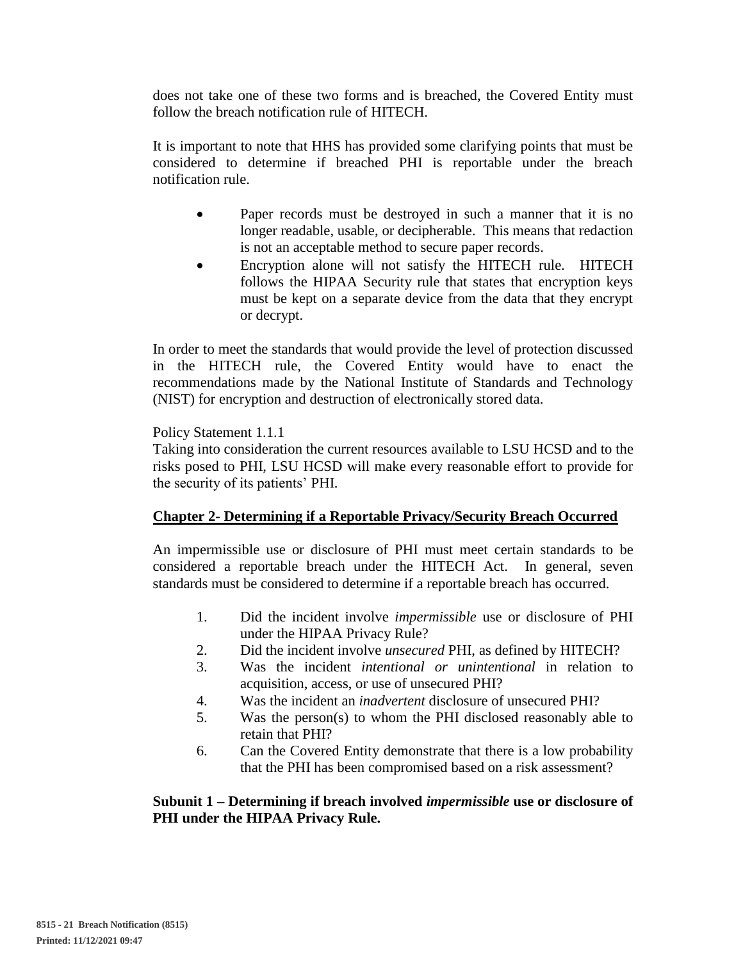does not take one of these two forms and is breached, the Covered Entity must follow the breach notification rule of HITECH.

It is important to note that HHS has provided some clarifying points that must be considered to determine if breached PHI is reportable under the breach notification rule.

- Paper records must be destroyed in such a manner that it is no longer readable, usable, or decipherable. This means that redaction is not an acceptable method to secure paper records.
- Encryption alone will not satisfy the HITECH rule. HITECH follows the HIPAA Security rule that states that encryption keys must be kept on a separate device from the data that they encrypt or decrypt.

In order to meet the standards that would provide the level of protection discussed in the HITECH rule, the Covered Entity would have to enact the recommendations made by the National Institute of Standards and Technology (NIST) for encryption and destruction of electronically stored data.

Policy Statement 1.1.1

Taking into consideration the current resources available to LSU HCSD and to the risks posed to PHI, LSU HCSD will make every reasonable effort to provide for the security of its patients' PHI.

## **Chapter 2- Determining if a Reportable Privacy/Security Breach Occurred**

An impermissible use or disclosure of PHI must meet certain standards to be considered a reportable breach under the HITECH Act. In general, seven standards must be considered to determine if a reportable breach has occurred.

- 1. Did the incident involve *impermissible* use or disclosure of PHI under the HIPAA Privacy Rule?
- 2. Did the incident involve *unsecured* PHI, as defined by HITECH?
- 3. Was the incident *intentional or unintentional* in relation to acquisition, access, or use of unsecured PHI?
- 4. Was the incident an *inadvertent* disclosure of unsecured PHI?
- 5. Was the person(s) to whom the PHI disclosed reasonably able to retain that PHI?
- 6. Can the Covered Entity demonstrate that there is a low probability that the PHI has been compromised based on a risk assessment?

## **Subunit 1 – Determining if breach involved** *impermissible* **use or disclosure of PHI under the HIPAA Privacy Rule.**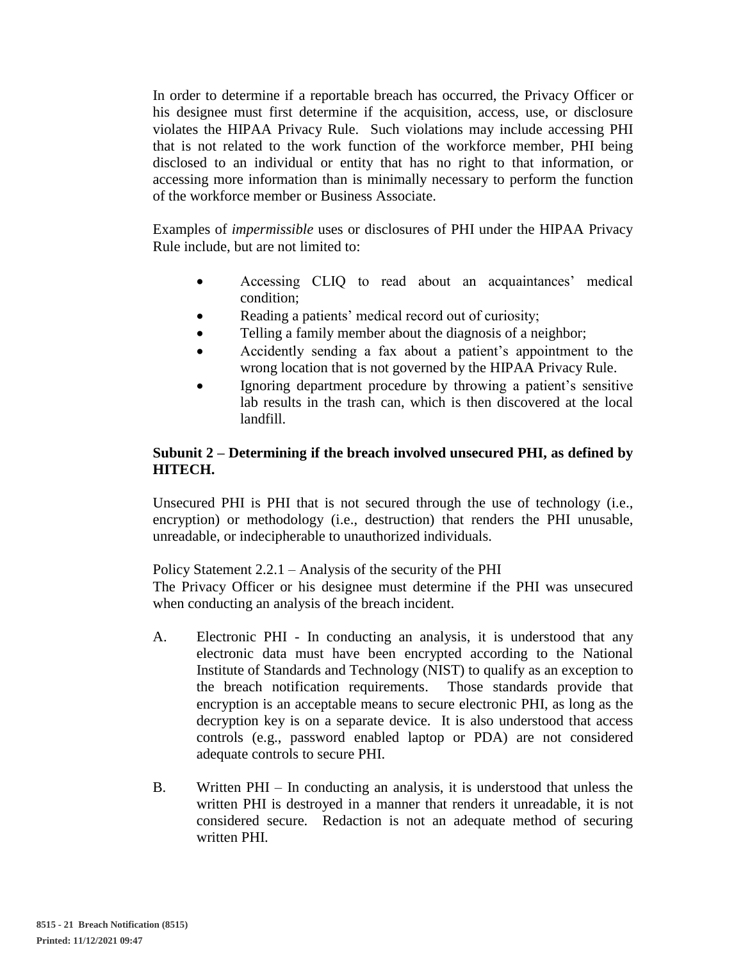In order to determine if a reportable breach has occurred, the Privacy Officer or his designee must first determine if the acquisition, access, use, or disclosure violates the HIPAA Privacy Rule. Such violations may include accessing PHI that is not related to the work function of the workforce member, PHI being disclosed to an individual or entity that has no right to that information, or accessing more information than is minimally necessary to perform the function of the workforce member or Business Associate.

Examples of *impermissible* uses or disclosures of PHI under the HIPAA Privacy Rule include, but are not limited to:

- Accessing CLIQ to read about an acquaintances' medical condition;
- Reading a patients' medical record out of curiosity;
- Telling a family member about the diagnosis of a neighbor;
- Accidently sending a fax about a patient's appointment to the wrong location that is not governed by the HIPAA Privacy Rule.
- Ignoring department procedure by throwing a patient's sensitive lab results in the trash can, which is then discovered at the local landfill.

## **Subunit 2 – Determining if the breach involved unsecured PHI, as defined by HITECH.**

Unsecured PHI is PHI that is not secured through the use of technology (i.e., encryption) or methodology (i.e., destruction) that renders the PHI unusable, unreadable, or indecipherable to unauthorized individuals.

Policy Statement 2.2.1 – Analysis of the security of the PHI

The Privacy Officer or his designee must determine if the PHI was unsecured when conducting an analysis of the breach incident.

- A. Electronic PHI In conducting an analysis, it is understood that any electronic data must have been encrypted according to the National Institute of Standards and Technology (NIST) to qualify as an exception to the breach notification requirements. Those standards provide that encryption is an acceptable means to secure electronic PHI, as long as the decryption key is on a separate device. It is also understood that access controls (e.g., password enabled laptop or PDA) are not considered adequate controls to secure PHI.
- B. Written PHI In conducting an analysis, it is understood that unless the written PHI is destroyed in a manner that renders it unreadable, it is not considered secure. Redaction is not an adequate method of securing written PHI.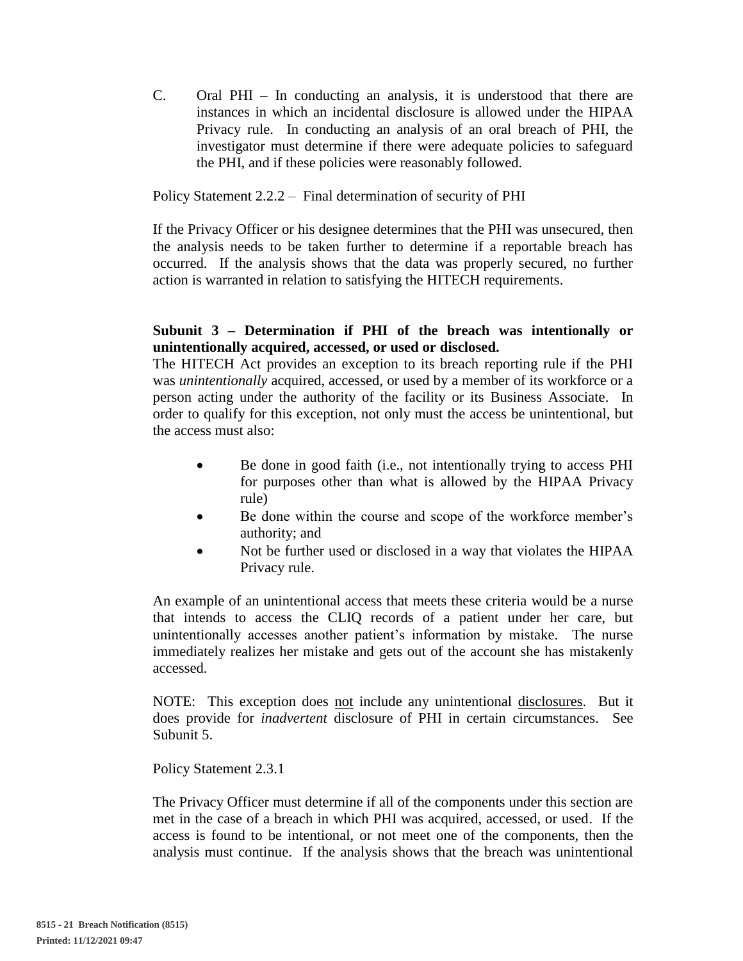C. Oral PHI – In conducting an analysis, it is understood that there are instances in which an incidental disclosure is allowed under the HIPAA Privacy rule. In conducting an analysis of an oral breach of PHI, the investigator must determine if there were adequate policies to safeguard the PHI, and if these policies were reasonably followed.

Policy Statement 2.2.2 – Final determination of security of PHI

If the Privacy Officer or his designee determines that the PHI was unsecured, then the analysis needs to be taken further to determine if a reportable breach has occurred. If the analysis shows that the data was properly secured, no further action is warranted in relation to satisfying the HITECH requirements.

# **Subunit 3 – Determination if PHI of the breach was intentionally or unintentionally acquired, accessed, or used or disclosed.**

The HITECH Act provides an exception to its breach reporting rule if the PHI was *unintentionally* acquired, accessed, or used by a member of its workforce or a person acting under the authority of the facility or its Business Associate. In order to qualify for this exception, not only must the access be unintentional, but the access must also:

- Be done in good faith (i.e., not intentionally trying to access PHI for purposes other than what is allowed by the HIPAA Privacy rule)
- Be done within the course and scope of the workforce member's authority; and
- Not be further used or disclosed in a way that violates the HIPAA Privacy rule.

An example of an unintentional access that meets these criteria would be a nurse that intends to access the CLIQ records of a patient under her care, but unintentionally accesses another patient's information by mistake. The nurse immediately realizes her mistake and gets out of the account she has mistakenly accessed.

NOTE: This exception does not include any unintentional disclosures. But it does provide for *inadvertent* disclosure of PHI in certain circumstances. See Subunit 5.

Policy Statement 2.3.1

The Privacy Officer must determine if all of the components under this section are met in the case of a breach in which PHI was acquired, accessed, or used. If the access is found to be intentional, or not meet one of the components, then the analysis must continue. If the analysis shows that the breach was unintentional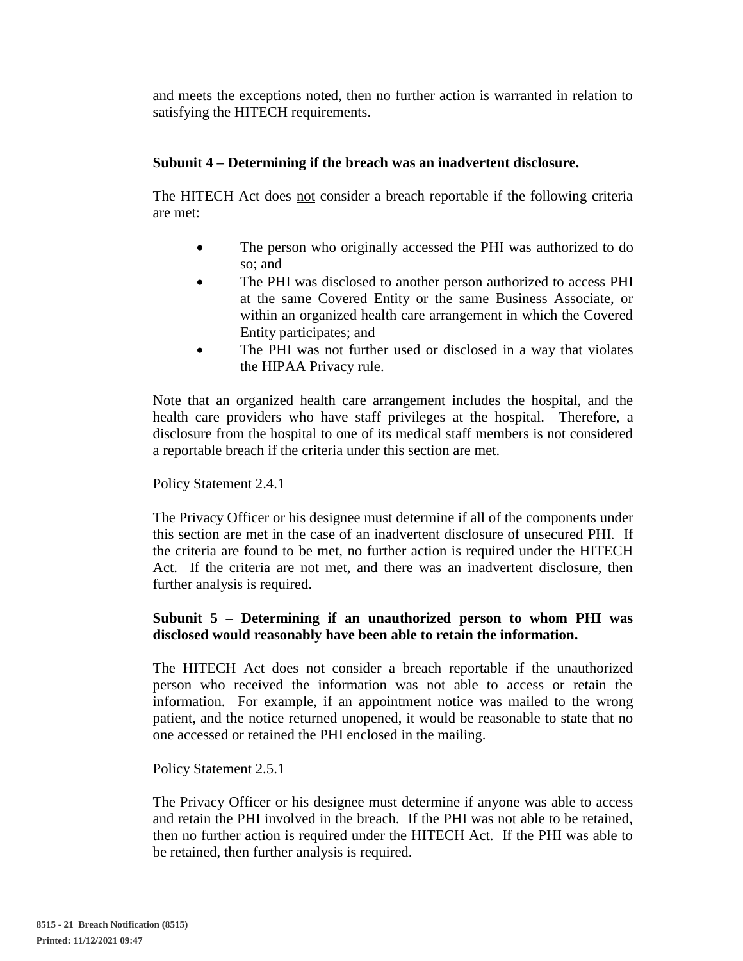and meets the exceptions noted, then no further action is warranted in relation to satisfying the HITECH requirements.

## **Subunit 4 – Determining if the breach was an inadvertent disclosure.**

The HITECH Act does not consider a breach reportable if the following criteria are met:

- The person who originally accessed the PHI was authorized to do so; and
- The PHI was disclosed to another person authorized to access PHI at the same Covered Entity or the same Business Associate, or within an organized health care arrangement in which the Covered Entity participates; and
- The PHI was not further used or disclosed in a way that violates the HIPAA Privacy rule.

Note that an organized health care arrangement includes the hospital, and the health care providers who have staff privileges at the hospital. Therefore, a disclosure from the hospital to one of its medical staff members is not considered a reportable breach if the criteria under this section are met.

#### Policy Statement 2.4.1

The Privacy Officer or his designee must determine if all of the components under this section are met in the case of an inadvertent disclosure of unsecured PHI. If the criteria are found to be met, no further action is required under the HITECH Act. If the criteria are not met, and there was an inadvertent disclosure, then further analysis is required.

### **Subunit 5 – Determining if an unauthorized person to whom PHI was disclosed would reasonably have been able to retain the information.**

The HITECH Act does not consider a breach reportable if the unauthorized person who received the information was not able to access or retain the information. For example, if an appointment notice was mailed to the wrong patient, and the notice returned unopened, it would be reasonable to state that no one accessed or retained the PHI enclosed in the mailing.

Policy Statement 2.5.1

The Privacy Officer or his designee must determine if anyone was able to access and retain the PHI involved in the breach. If the PHI was not able to be retained, then no further action is required under the HITECH Act. If the PHI was able to be retained, then further analysis is required.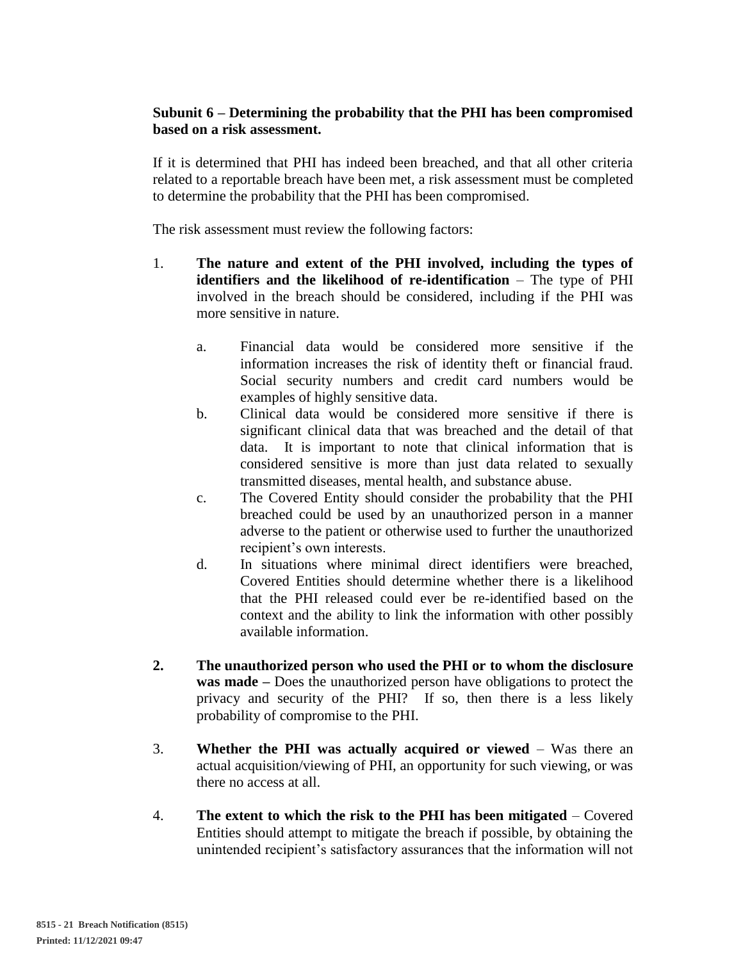# **Subunit 6 – Determining the probability that the PHI has been compromised based on a risk assessment.**

If it is determined that PHI has indeed been breached, and that all other criteria related to a reportable breach have been met, a risk assessment must be completed to determine the probability that the PHI has been compromised.

The risk assessment must review the following factors:

- 1. **The nature and extent of the PHI involved, including the types of identifiers and the likelihood of re-identification** – The type of PHI involved in the breach should be considered, including if the PHI was more sensitive in nature.
	- a. Financial data would be considered more sensitive if the information increases the risk of identity theft or financial fraud. Social security numbers and credit card numbers would be examples of highly sensitive data.
	- b. Clinical data would be considered more sensitive if there is significant clinical data that was breached and the detail of that data. It is important to note that clinical information that is considered sensitive is more than just data related to sexually transmitted diseases, mental health, and substance abuse.
	- c. The Covered Entity should consider the probability that the PHI breached could be used by an unauthorized person in a manner adverse to the patient or otherwise used to further the unauthorized recipient's own interests.
	- d. In situations where minimal direct identifiers were breached, Covered Entities should determine whether there is a likelihood that the PHI released could ever be re-identified based on the context and the ability to link the information with other possibly available information.
- **2. The unauthorized person who used the PHI or to whom the disclosure was made –** Does the unauthorized person have obligations to protect the privacy and security of the PHI? If so, then there is a less likely probability of compromise to the PHI.
- 3. **Whether the PHI was actually acquired or viewed** Was there an actual acquisition/viewing of PHI, an opportunity for such viewing, or was there no access at all.
- 4. **The extent to which the risk to the PHI has been mitigated** Covered Entities should attempt to mitigate the breach if possible, by obtaining the unintended recipient's satisfactory assurances that the information will not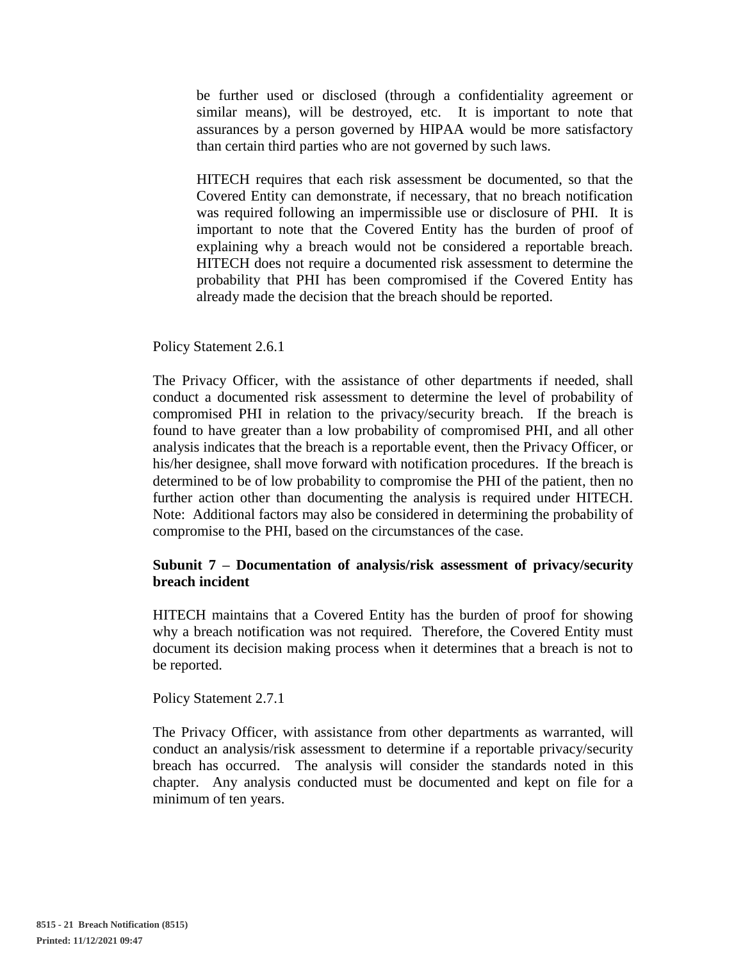be further used or disclosed (through a confidentiality agreement or similar means), will be destroyed, etc. It is important to note that assurances by a person governed by HIPAA would be more satisfactory than certain third parties who are not governed by such laws.

HITECH requires that each risk assessment be documented, so that the Covered Entity can demonstrate, if necessary, that no breach notification was required following an impermissible use or disclosure of PHI. It is important to note that the Covered Entity has the burden of proof of explaining why a breach would not be considered a reportable breach. HITECH does not require a documented risk assessment to determine the probability that PHI has been compromised if the Covered Entity has already made the decision that the breach should be reported.

#### Policy Statement 2.6.1

The Privacy Officer, with the assistance of other departments if needed, shall conduct a documented risk assessment to determine the level of probability of compromised PHI in relation to the privacy/security breach. If the breach is found to have greater than a low probability of compromised PHI, and all other analysis indicates that the breach is a reportable event, then the Privacy Officer, or his/her designee, shall move forward with notification procedures. If the breach is determined to be of low probability to compromise the PHI of the patient, then no further action other than documenting the analysis is required under HITECH. Note: Additional factors may also be considered in determining the probability of compromise to the PHI, based on the circumstances of the case.

#### **Subunit 7 – Documentation of analysis/risk assessment of privacy/security breach incident**

HITECH maintains that a Covered Entity has the burden of proof for showing why a breach notification was not required. Therefore, the Covered Entity must document its decision making process when it determines that a breach is not to be reported.

Policy Statement 2.7.1

The Privacy Officer, with assistance from other departments as warranted, will conduct an analysis/risk assessment to determine if a reportable privacy/security breach has occurred. The analysis will consider the standards noted in this chapter. Any analysis conducted must be documented and kept on file for a minimum of ten years.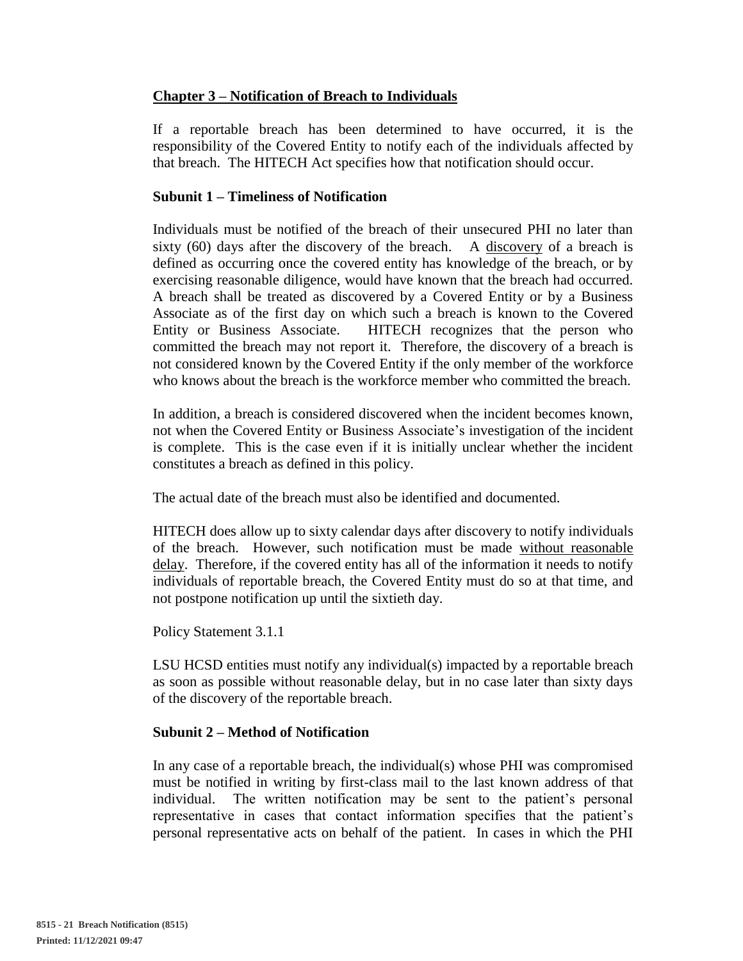# **Chapter 3 – Notification of Breach to Individuals**

If a reportable breach has been determined to have occurred, it is the responsibility of the Covered Entity to notify each of the individuals affected by that breach. The HITECH Act specifies how that notification should occur.

### **Subunit 1 – Timeliness of Notification**

Individuals must be notified of the breach of their unsecured PHI no later than sixty (60) days after the discovery of the breach. A discovery of a breach is defined as occurring once the covered entity has knowledge of the breach, or by exercising reasonable diligence, would have known that the breach had occurred. A breach shall be treated as discovered by a Covered Entity or by a Business Associate as of the first day on which such a breach is known to the Covered Entity or Business Associate. HITECH recognizes that the person who committed the breach may not report it. Therefore, the discovery of a breach is not considered known by the Covered Entity if the only member of the workforce who knows about the breach is the workforce member who committed the breach.

In addition, a breach is considered discovered when the incident becomes known, not when the Covered Entity or Business Associate's investigation of the incident is complete. This is the case even if it is initially unclear whether the incident constitutes a breach as defined in this policy.

The actual date of the breach must also be identified and documented.

HITECH does allow up to sixty calendar days after discovery to notify individuals of the breach. However, such notification must be made without reasonable delay. Therefore, if the covered entity has all of the information it needs to notify individuals of reportable breach, the Covered Entity must do so at that time, and not postpone notification up until the sixtieth day.

Policy Statement 3.1.1

LSU HCSD entities must notify any individual(s) impacted by a reportable breach as soon as possible without reasonable delay, but in no case later than sixty days of the discovery of the reportable breach.

## **Subunit 2 – Method of Notification**

In any case of a reportable breach, the individual(s) whose PHI was compromised must be notified in writing by first-class mail to the last known address of that individual. The written notification may be sent to the patient's personal representative in cases that contact information specifies that the patient's personal representative acts on behalf of the patient. In cases in which the PHI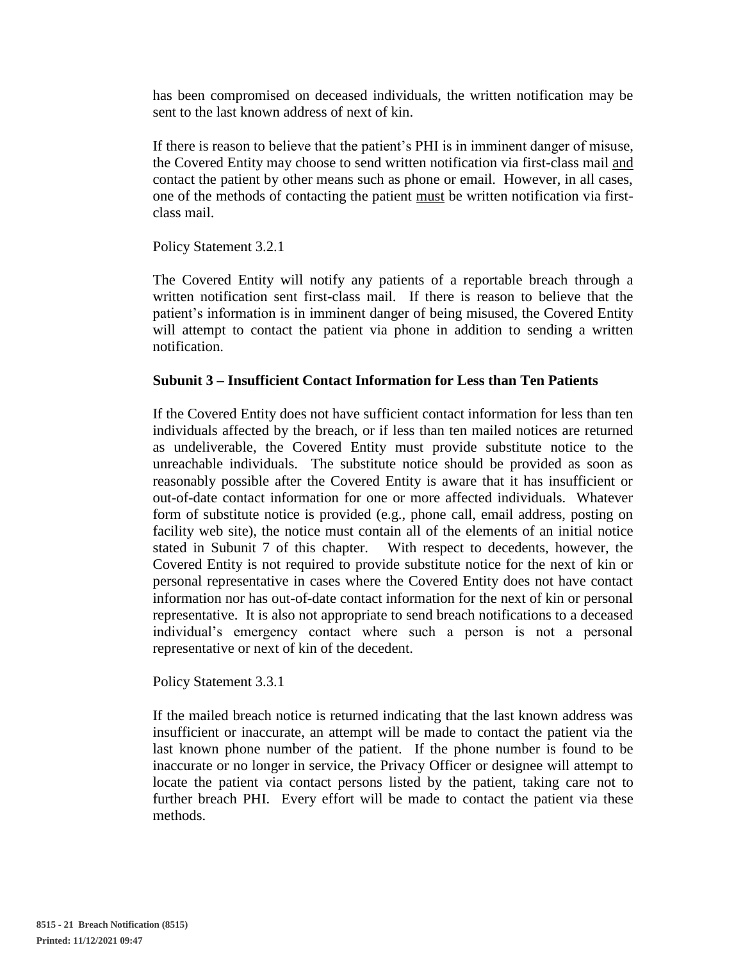has been compromised on deceased individuals, the written notification may be sent to the last known address of next of kin.

If there is reason to believe that the patient's PHI is in imminent danger of misuse, the Covered Entity may choose to send written notification via first-class mail and contact the patient by other means such as phone or email. However, in all cases, one of the methods of contacting the patient must be written notification via firstclass mail.

Policy Statement 3.2.1

The Covered Entity will notify any patients of a reportable breach through a written notification sent first-class mail. If there is reason to believe that the patient's information is in imminent danger of being misused, the Covered Entity will attempt to contact the patient via phone in addition to sending a written notification.

### **Subunit 3 – Insufficient Contact Information for Less than Ten Patients**

If the Covered Entity does not have sufficient contact information for less than ten individuals affected by the breach, or if less than ten mailed notices are returned as undeliverable, the Covered Entity must provide substitute notice to the unreachable individuals. The substitute notice should be provided as soon as reasonably possible after the Covered Entity is aware that it has insufficient or out-of-date contact information for one or more affected individuals. Whatever form of substitute notice is provided (e.g., phone call, email address, posting on facility web site), the notice must contain all of the elements of an initial notice stated in Subunit 7 of this chapter. With respect to decedents, however, the Covered Entity is not required to provide substitute notice for the next of kin or personal representative in cases where the Covered Entity does not have contact information nor has out-of-date contact information for the next of kin or personal representative. It is also not appropriate to send breach notifications to a deceased individual's emergency contact where such a person is not a personal representative or next of kin of the decedent.

Policy Statement 3.3.1

If the mailed breach notice is returned indicating that the last known address was insufficient or inaccurate, an attempt will be made to contact the patient via the last known phone number of the patient. If the phone number is found to be inaccurate or no longer in service, the Privacy Officer or designee will attempt to locate the patient via contact persons listed by the patient, taking care not to further breach PHI. Every effort will be made to contact the patient via these methods.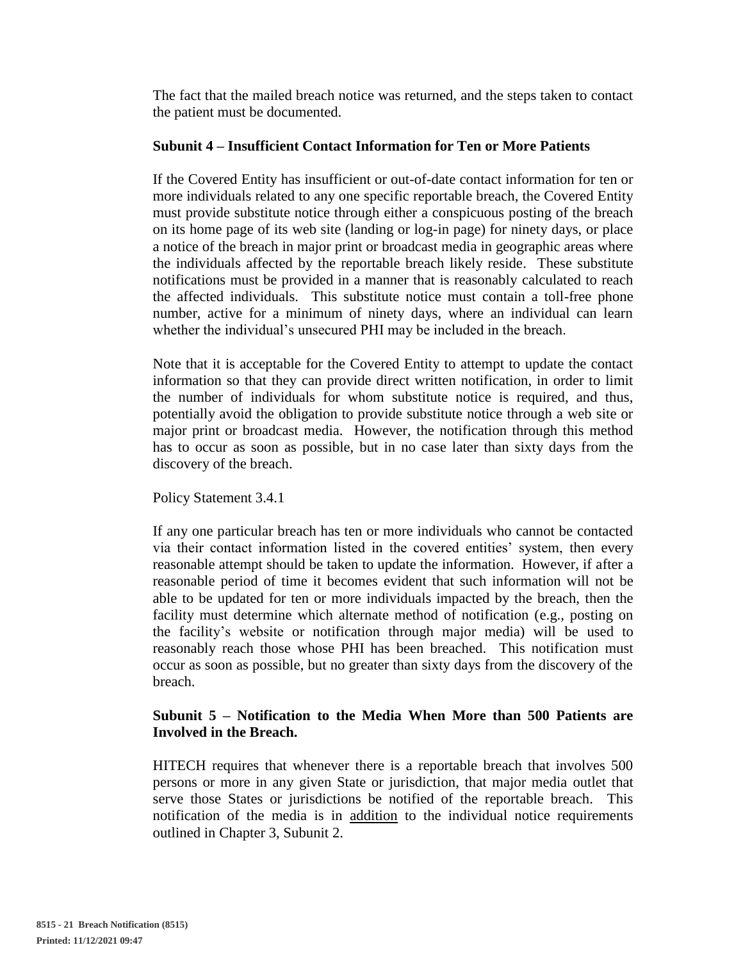The fact that the mailed breach notice was returned, and the steps taken to contact the patient must be documented.

### **Subunit 4 – Insufficient Contact Information for Ten or More Patients**

If the Covered Entity has insufficient or out-of-date contact information for ten or more individuals related to any one specific reportable breach, the Covered Entity must provide substitute notice through either a conspicuous posting of the breach on its home page of its web site (landing or log-in page) for ninety days, or place a notice of the breach in major print or broadcast media in geographic areas where the individuals affected by the reportable breach likely reside. These substitute notifications must be provided in a manner that is reasonably calculated to reach the affected individuals. This substitute notice must contain a toll-free phone number, active for a minimum of ninety days, where an individual can learn whether the individual's unsecured PHI may be included in the breach.

Note that it is acceptable for the Covered Entity to attempt to update the contact information so that they can provide direct written notification, in order to limit the number of individuals for whom substitute notice is required, and thus, potentially avoid the obligation to provide substitute notice through a web site or major print or broadcast media. However, the notification through this method has to occur as soon as possible, but in no case later than sixty days from the discovery of the breach.

Policy Statement 3.4.1

If any one particular breach has ten or more individuals who cannot be contacted via their contact information listed in the covered entities' system, then every reasonable attempt should be taken to update the information. However, if after a reasonable period of time it becomes evident that such information will not be able to be updated for ten or more individuals impacted by the breach, then the facility must determine which alternate method of notification (e.g., posting on the facility's website or notification through major media) will be used to reasonably reach those whose PHI has been breached. This notification must occur as soon as possible, but no greater than sixty days from the discovery of the breach.

### **Subunit 5 – Notification to the Media When More than 500 Patients are Involved in the Breach.**

HITECH requires that whenever there is a reportable breach that involves 500 persons or more in any given State or jurisdiction, that major media outlet that serve those States or jurisdictions be notified of the reportable breach. This notification of the media is in addition to the individual notice requirements outlined in Chapter 3, Subunit 2.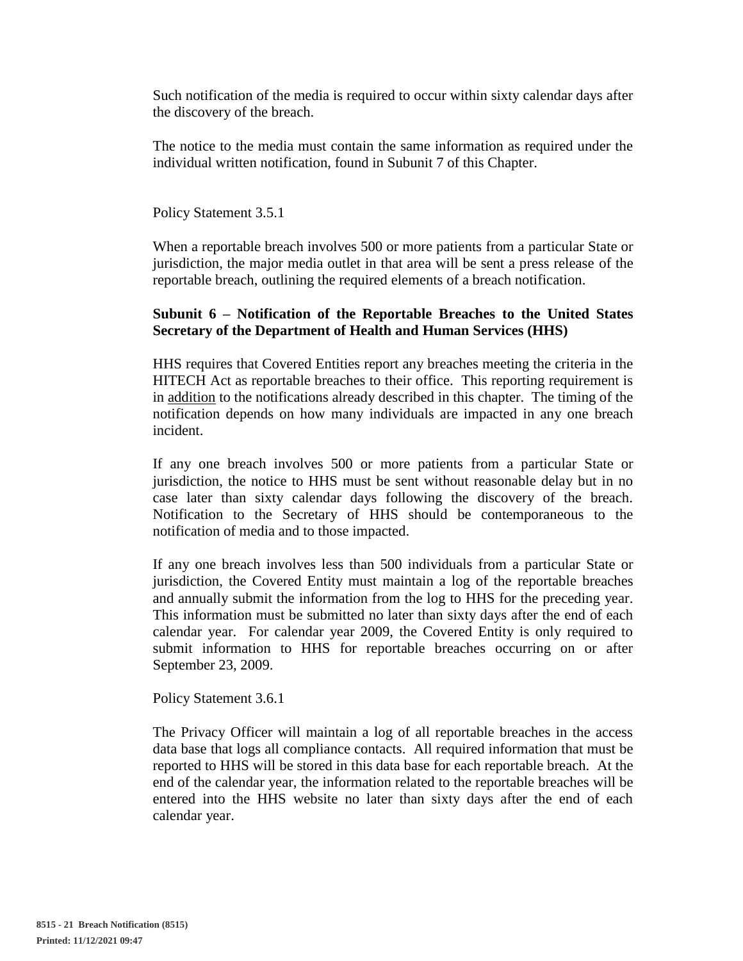Such notification of the media is required to occur within sixty calendar days after the discovery of the breach.

The notice to the media must contain the same information as required under the individual written notification, found in Subunit 7 of this Chapter.

Policy Statement 3.5.1

When a reportable breach involves 500 or more patients from a particular State or jurisdiction, the major media outlet in that area will be sent a press release of the reportable breach, outlining the required elements of a breach notification.

### **Subunit 6 – Notification of the Reportable Breaches to the United States Secretary of the Department of Health and Human Services (HHS)**

HHS requires that Covered Entities report any breaches meeting the criteria in the HITECH Act as reportable breaches to their office. This reporting requirement is in addition to the notifications already described in this chapter. The timing of the notification depends on how many individuals are impacted in any one breach incident.

If any one breach involves 500 or more patients from a particular State or jurisdiction, the notice to HHS must be sent without reasonable delay but in no case later than sixty calendar days following the discovery of the breach. Notification to the Secretary of HHS should be contemporaneous to the notification of media and to those impacted.

If any one breach involves less than 500 individuals from a particular State or jurisdiction, the Covered Entity must maintain a log of the reportable breaches and annually submit the information from the log to HHS for the preceding year. This information must be submitted no later than sixty days after the end of each calendar year. For calendar year 2009, the Covered Entity is only required to submit information to HHS for reportable breaches occurring on or after September 23, 2009.

Policy Statement 3.6.1

The Privacy Officer will maintain a log of all reportable breaches in the access data base that logs all compliance contacts. All required information that must be reported to HHS will be stored in this data base for each reportable breach. At the end of the calendar year, the information related to the reportable breaches will be entered into the HHS website no later than sixty days after the end of each calendar year.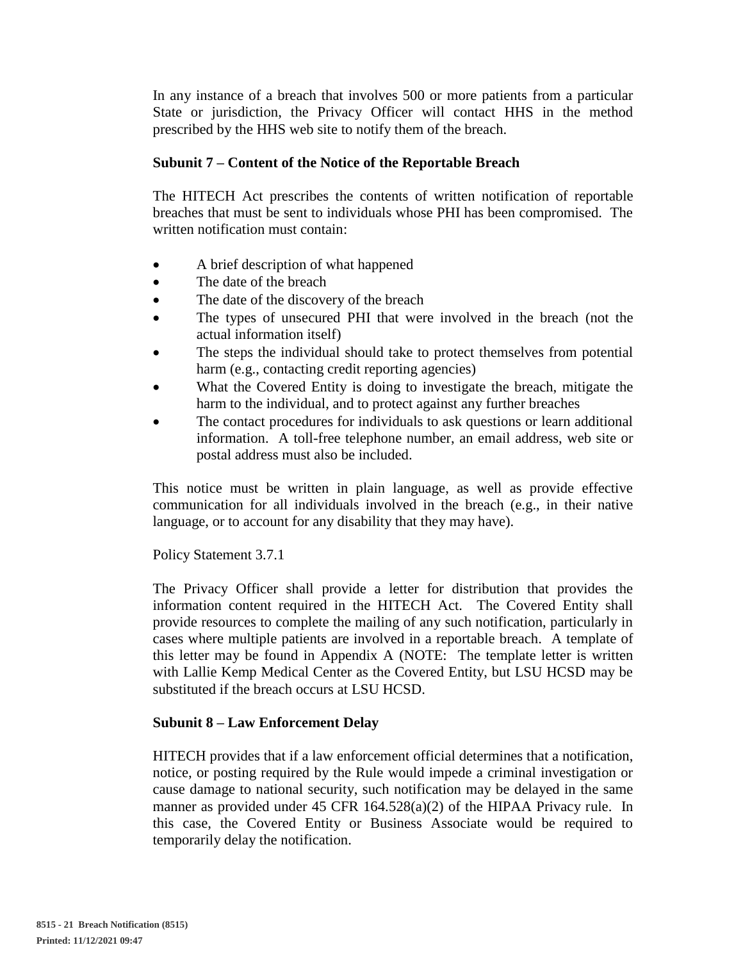In any instance of a breach that involves 500 or more patients from a particular State or jurisdiction, the Privacy Officer will contact HHS in the method prescribed by the HHS web site to notify them of the breach.

# **Subunit 7 – Content of the Notice of the Reportable Breach**

The HITECH Act prescribes the contents of written notification of reportable breaches that must be sent to individuals whose PHI has been compromised. The written notification must contain:

- A brief description of what happened
- The date of the breach
- The date of the discovery of the breach
- The types of unsecured PHI that were involved in the breach (not the actual information itself)
- The steps the individual should take to protect themselves from potential harm (e.g., contacting credit reporting agencies)
- What the Covered Entity is doing to investigate the breach, mitigate the harm to the individual, and to protect against any further breaches
- The contact procedures for individuals to ask questions or learn additional information. A toll-free telephone number, an email address, web site or postal address must also be included.

This notice must be written in plain language, as well as provide effective communication for all individuals involved in the breach (e.g., in their native language, or to account for any disability that they may have).

Policy Statement 3.7.1

The Privacy Officer shall provide a letter for distribution that provides the information content required in the HITECH Act. The Covered Entity shall provide resources to complete the mailing of any such notification, particularly in cases where multiple patients are involved in a reportable breach. A template of this letter may be found in Appendix A (NOTE: The template letter is written with Lallie Kemp Medical Center as the Covered Entity, but LSU HCSD may be substituted if the breach occurs at LSU HCSD.

## **Subunit 8 – Law Enforcement Delay**

HITECH provides that if a law enforcement official determines that a notification, notice, or posting required by the Rule would impede a criminal investigation or cause damage to national security, such notification may be delayed in the same manner as provided under 45 CFR 164.528(a)(2) of the HIPAA Privacy rule. In this case, the Covered Entity or Business Associate would be required to temporarily delay the notification.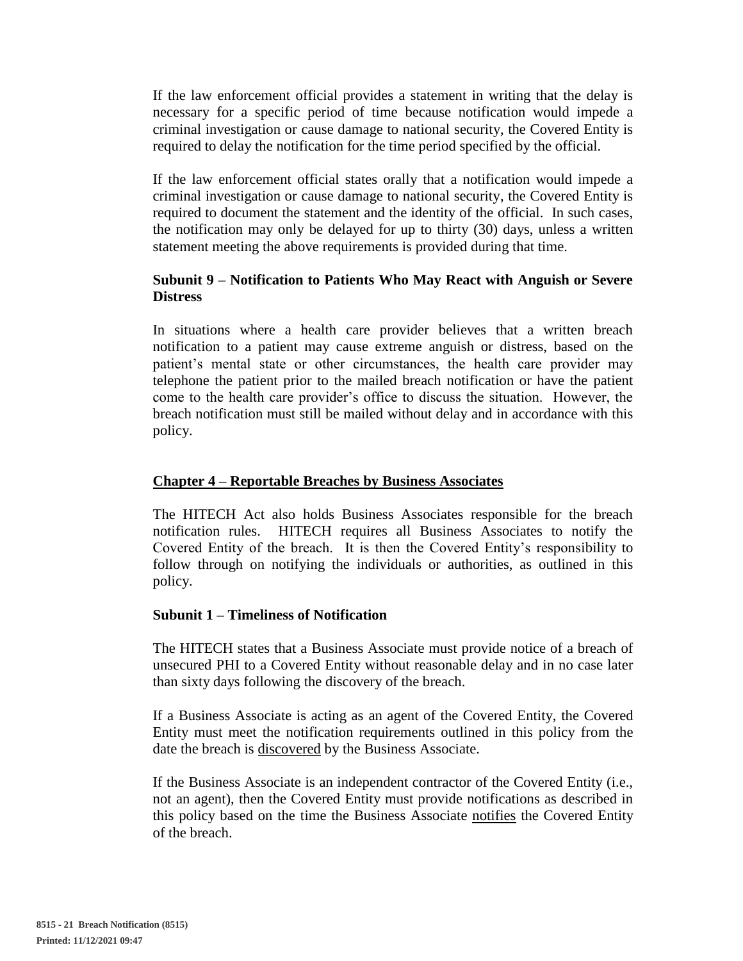If the law enforcement official provides a statement in writing that the delay is necessary for a specific period of time because notification would impede a criminal investigation or cause damage to national security, the Covered Entity is required to delay the notification for the time period specified by the official.

If the law enforcement official states orally that a notification would impede a criminal investigation or cause damage to national security, the Covered Entity is required to document the statement and the identity of the official. In such cases, the notification may only be delayed for up to thirty (30) days, unless a written statement meeting the above requirements is provided during that time.

# **Subunit 9 – Notification to Patients Who May React with Anguish or Severe Distress**

In situations where a health care provider believes that a written breach notification to a patient may cause extreme anguish or distress, based on the patient's mental state or other circumstances, the health care provider may telephone the patient prior to the mailed breach notification or have the patient come to the health care provider's office to discuss the situation. However, the breach notification must still be mailed without delay and in accordance with this policy.

## **Chapter 4 – Reportable Breaches by Business Associates**

The HITECH Act also holds Business Associates responsible for the breach notification rules. HITECH requires all Business Associates to notify the Covered Entity of the breach. It is then the Covered Entity's responsibility to follow through on notifying the individuals or authorities, as outlined in this policy.

#### **Subunit 1 – Timeliness of Notification**

The HITECH states that a Business Associate must provide notice of a breach of unsecured PHI to a Covered Entity without reasonable delay and in no case later than sixty days following the discovery of the breach.

If a Business Associate is acting as an agent of the Covered Entity, the Covered Entity must meet the notification requirements outlined in this policy from the date the breach is discovered by the Business Associate.

If the Business Associate is an independent contractor of the Covered Entity (i.e., not an agent), then the Covered Entity must provide notifications as described in this policy based on the time the Business Associate notifies the Covered Entity of the breach.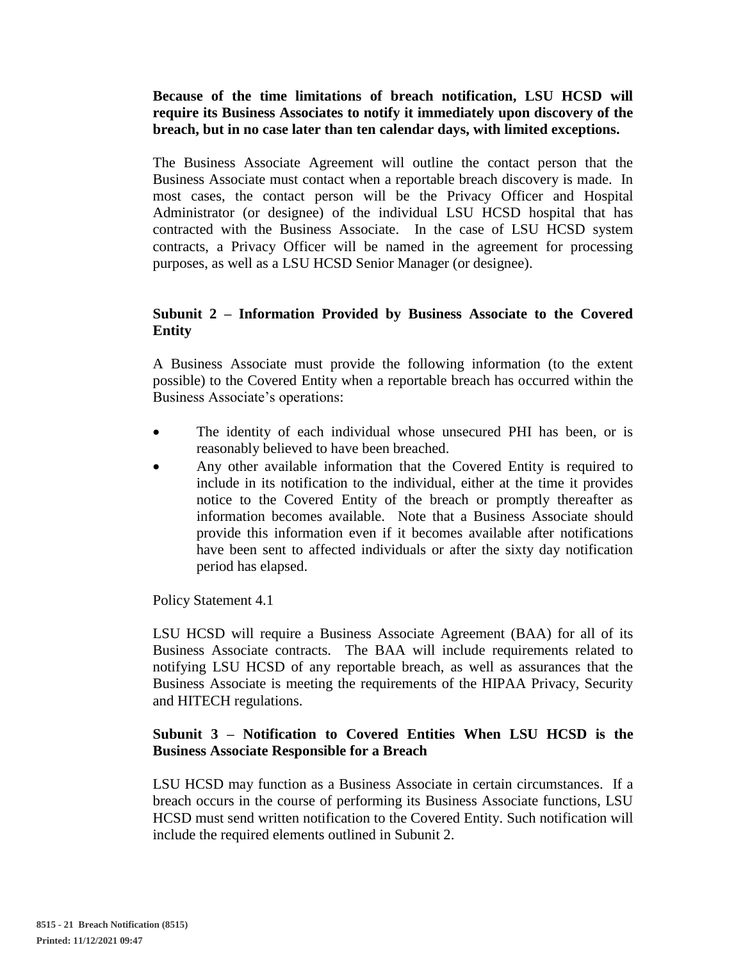## **Because of the time limitations of breach notification, LSU HCSD will require its Business Associates to notify it immediately upon discovery of the breach, but in no case later than ten calendar days, with limited exceptions.**

The Business Associate Agreement will outline the contact person that the Business Associate must contact when a reportable breach discovery is made. In most cases, the contact person will be the Privacy Officer and Hospital Administrator (or designee) of the individual LSU HCSD hospital that has contracted with the Business Associate. In the case of LSU HCSD system contracts, a Privacy Officer will be named in the agreement for processing purposes, as well as a LSU HCSD Senior Manager (or designee).

## **Subunit 2 – Information Provided by Business Associate to the Covered Entity**

A Business Associate must provide the following information (to the extent possible) to the Covered Entity when a reportable breach has occurred within the Business Associate's operations:

- The identity of each individual whose unsecured PHI has been, or is reasonably believed to have been breached.
- Any other available information that the Covered Entity is required to include in its notification to the individual, either at the time it provides notice to the Covered Entity of the breach or promptly thereafter as information becomes available. Note that a Business Associate should provide this information even if it becomes available after notifications have been sent to affected individuals or after the sixty day notification period has elapsed.

Policy Statement 4.1

LSU HCSD will require a Business Associate Agreement (BAA) for all of its Business Associate contracts. The BAA will include requirements related to notifying LSU HCSD of any reportable breach, as well as assurances that the Business Associate is meeting the requirements of the HIPAA Privacy, Security and HITECH regulations.

## **Subunit 3 – Notification to Covered Entities When LSU HCSD is the Business Associate Responsible for a Breach**

LSU HCSD may function as a Business Associate in certain circumstances. If a breach occurs in the course of performing its Business Associate functions, LSU HCSD must send written notification to the Covered Entity. Such notification will include the required elements outlined in Subunit 2.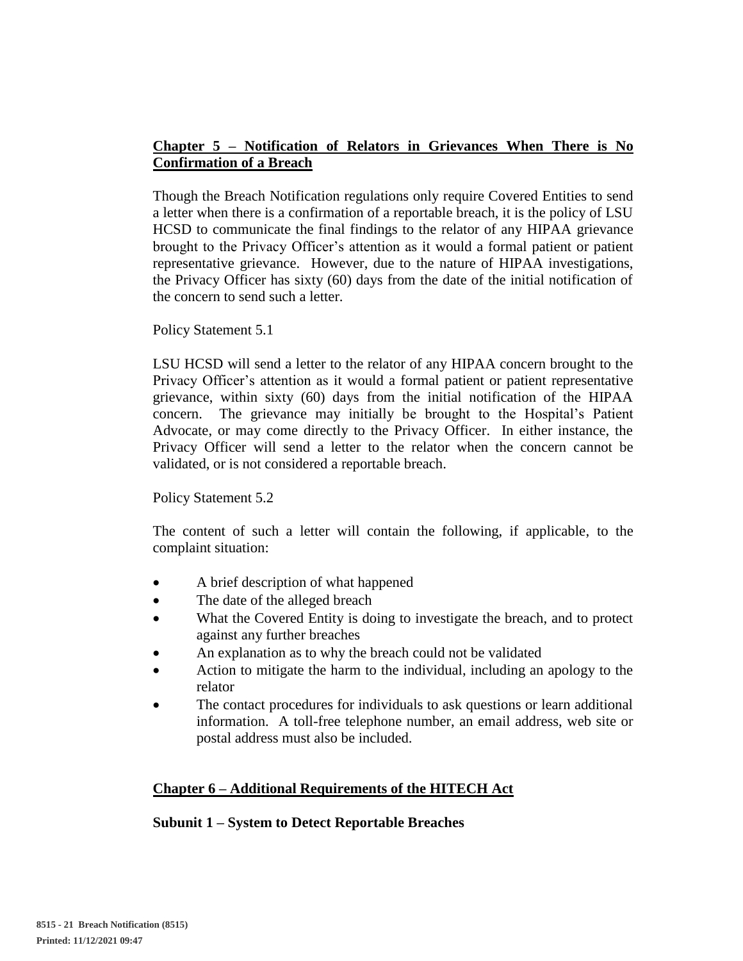# **Chapter 5 – Notification of Relators in Grievances When There is No Confirmation of a Breach**

Though the Breach Notification regulations only require Covered Entities to send a letter when there is a confirmation of a reportable breach, it is the policy of LSU HCSD to communicate the final findings to the relator of any HIPAA grievance brought to the Privacy Officer's attention as it would a formal patient or patient representative grievance. However, due to the nature of HIPAA investigations, the Privacy Officer has sixty (60) days from the date of the initial notification of the concern to send such a letter.

#### Policy Statement 5.1

LSU HCSD will send a letter to the relator of any HIPAA concern brought to the Privacy Officer's attention as it would a formal patient or patient representative grievance, within sixty (60) days from the initial notification of the HIPAA concern. The grievance may initially be brought to the Hospital's Patient Advocate, or may come directly to the Privacy Officer. In either instance, the Privacy Officer will send a letter to the relator when the concern cannot be validated, or is not considered a reportable breach.

#### Policy Statement 5.2

The content of such a letter will contain the following, if applicable, to the complaint situation:

- A brief description of what happened
- The date of the alleged breach
- What the Covered Entity is doing to investigate the breach, and to protect against any further breaches
- An explanation as to why the breach could not be validated
- Action to mitigate the harm to the individual, including an apology to the relator
- The contact procedures for individuals to ask questions or learn additional information. A toll-free telephone number, an email address, web site or postal address must also be included.

## **Chapter 6 – Additional Requirements of the HITECH Act**

## **Subunit 1 – System to Detect Reportable Breaches**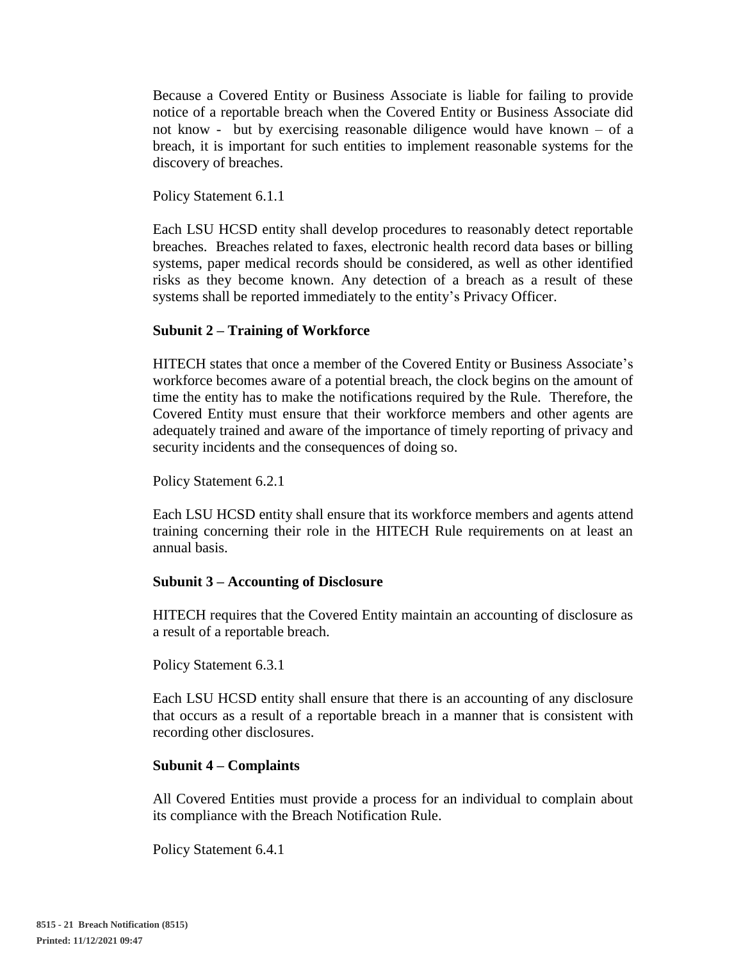Because a Covered Entity or Business Associate is liable for failing to provide notice of a reportable breach when the Covered Entity or Business Associate did not know - but by exercising reasonable diligence would have known – of a breach, it is important for such entities to implement reasonable systems for the discovery of breaches.

Policy Statement 6.1.1

Each LSU HCSD entity shall develop procedures to reasonably detect reportable breaches. Breaches related to faxes, electronic health record data bases or billing systems, paper medical records should be considered, as well as other identified risks as they become known. Any detection of a breach as a result of these systems shall be reported immediately to the entity's Privacy Officer.

### **Subunit 2 – Training of Workforce**

HITECH states that once a member of the Covered Entity or Business Associate's workforce becomes aware of a potential breach, the clock begins on the amount of time the entity has to make the notifications required by the Rule. Therefore, the Covered Entity must ensure that their workforce members and other agents are adequately trained and aware of the importance of timely reporting of privacy and security incidents and the consequences of doing so.

Policy Statement 6.2.1

Each LSU HCSD entity shall ensure that its workforce members and agents attend training concerning their role in the HITECH Rule requirements on at least an annual basis.

#### **Subunit 3 – Accounting of Disclosure**

HITECH requires that the Covered Entity maintain an accounting of disclosure as a result of a reportable breach.

Policy Statement 6.3.1

Each LSU HCSD entity shall ensure that there is an accounting of any disclosure that occurs as a result of a reportable breach in a manner that is consistent with recording other disclosures.

#### **Subunit 4 – Complaints**

All Covered Entities must provide a process for an individual to complain about its compliance with the Breach Notification Rule.

Policy Statement 6.4.1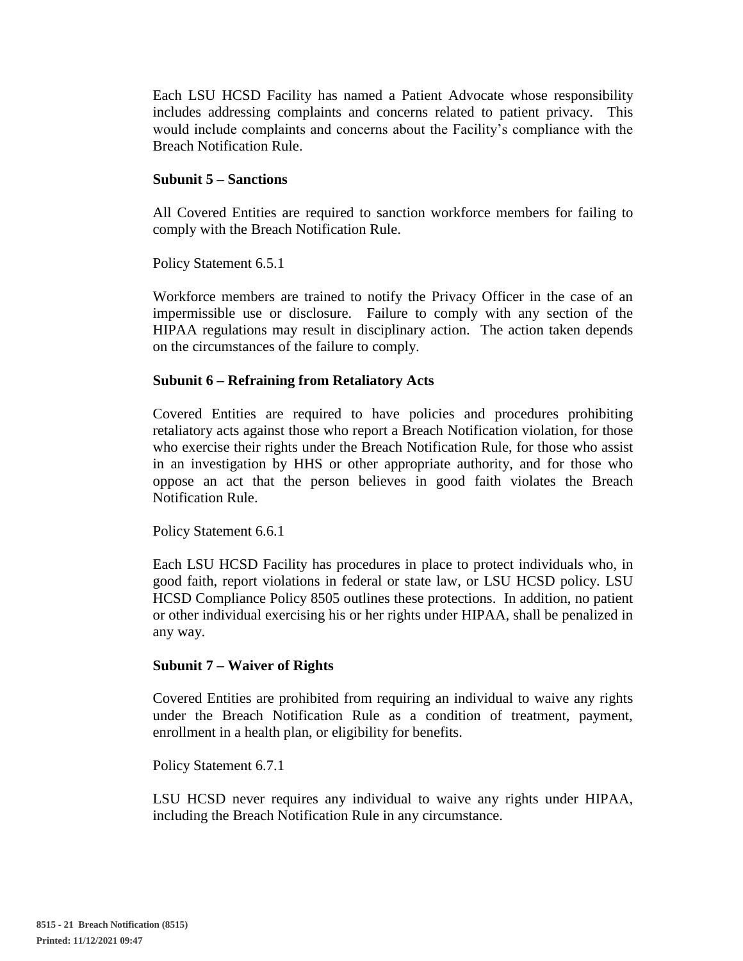Each LSU HCSD Facility has named a Patient Advocate whose responsibility includes addressing complaints and concerns related to patient privacy. This would include complaints and concerns about the Facility's compliance with the Breach Notification Rule.

### **Subunit 5 – Sanctions**

All Covered Entities are required to sanction workforce members for failing to comply with the Breach Notification Rule.

Policy Statement 6.5.1

Workforce members are trained to notify the Privacy Officer in the case of an impermissible use or disclosure. Failure to comply with any section of the HIPAA regulations may result in disciplinary action. The action taken depends on the circumstances of the failure to comply.

#### **Subunit 6 – Refraining from Retaliatory Acts**

Covered Entities are required to have policies and procedures prohibiting retaliatory acts against those who report a Breach Notification violation, for those who exercise their rights under the Breach Notification Rule, for those who assist in an investigation by HHS or other appropriate authority, and for those who oppose an act that the person believes in good faith violates the Breach Notification Rule.

Policy Statement 6.6.1

Each LSU HCSD Facility has procedures in place to protect individuals who, in good faith, report violations in federal or state law, or LSU HCSD policy. LSU HCSD Compliance Policy 8505 outlines these protections. In addition, no patient or other individual exercising his or her rights under HIPAA, shall be penalized in any way.

#### **Subunit 7 – Waiver of Rights**

Covered Entities are prohibited from requiring an individual to waive any rights under the Breach Notification Rule as a condition of treatment, payment, enrollment in a health plan, or eligibility for benefits.

Policy Statement 6.7.1

LSU HCSD never requires any individual to waive any rights under HIPAA, including the Breach Notification Rule in any circumstance.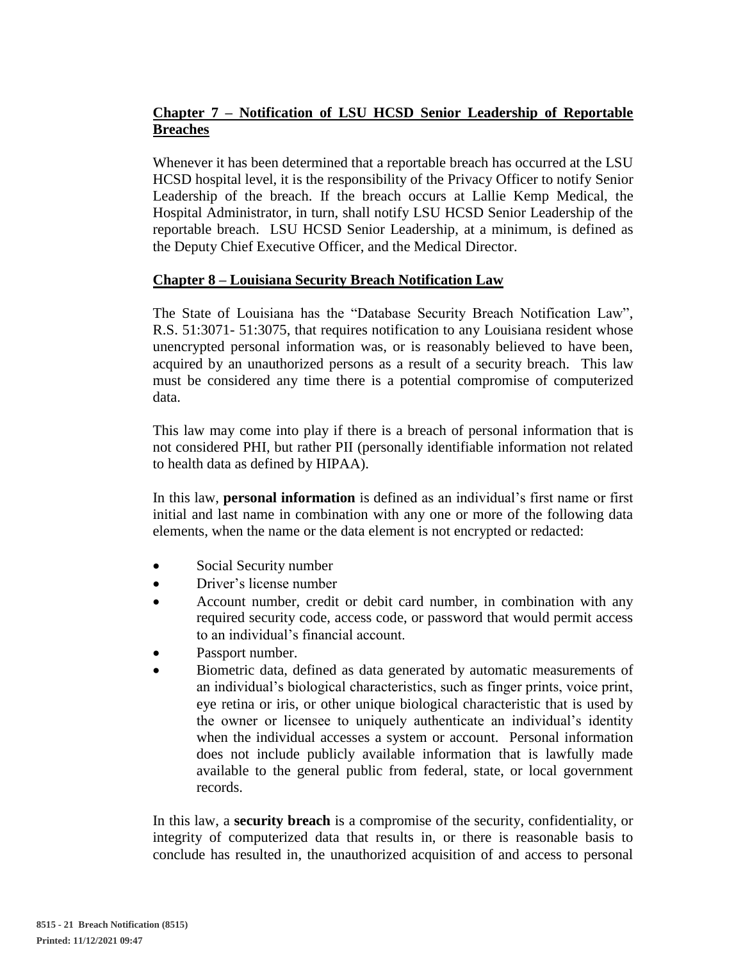# **Chapter 7 – Notification of LSU HCSD Senior Leadership of Reportable Breaches**

Whenever it has been determined that a reportable breach has occurred at the LSU HCSD hospital level, it is the responsibility of the Privacy Officer to notify Senior Leadership of the breach. If the breach occurs at Lallie Kemp Medical, the Hospital Administrator, in turn, shall notify LSU HCSD Senior Leadership of the reportable breach. LSU HCSD Senior Leadership, at a minimum, is defined as the Deputy Chief Executive Officer, and the Medical Director.

# **Chapter 8 – Louisiana Security Breach Notification Law**

The State of Louisiana has the "Database Security Breach Notification Law", R.S. 51:3071- 51:3075, that requires notification to any Louisiana resident whose unencrypted personal information was, or is reasonably believed to have been, acquired by an unauthorized persons as a result of a security breach. This law must be considered any time there is a potential compromise of computerized data.

This law may come into play if there is a breach of personal information that is not considered PHI, but rather PII (personally identifiable information not related to health data as defined by HIPAA).

In this law, **personal information** is defined as an individual's first name or first initial and last name in combination with any one or more of the following data elements, when the name or the data element is not encrypted or redacted:

- Social Security number
- Driver's license number
- Account number, credit or debit card number, in combination with any required security code, access code, or password that would permit access to an individual's financial account.
- Passport number.
- Biometric data, defined as data generated by automatic measurements of an individual's biological characteristics, such as finger prints, voice print, eye retina or iris, or other unique biological characteristic that is used by the owner or licensee to uniquely authenticate an individual's identity when the individual accesses a system or account. Personal information does not include publicly available information that is lawfully made available to the general public from federal, state, or local government records.

In this law, a **security breach** is a compromise of the security, confidentiality, or integrity of computerized data that results in, or there is reasonable basis to conclude has resulted in, the unauthorized acquisition of and access to personal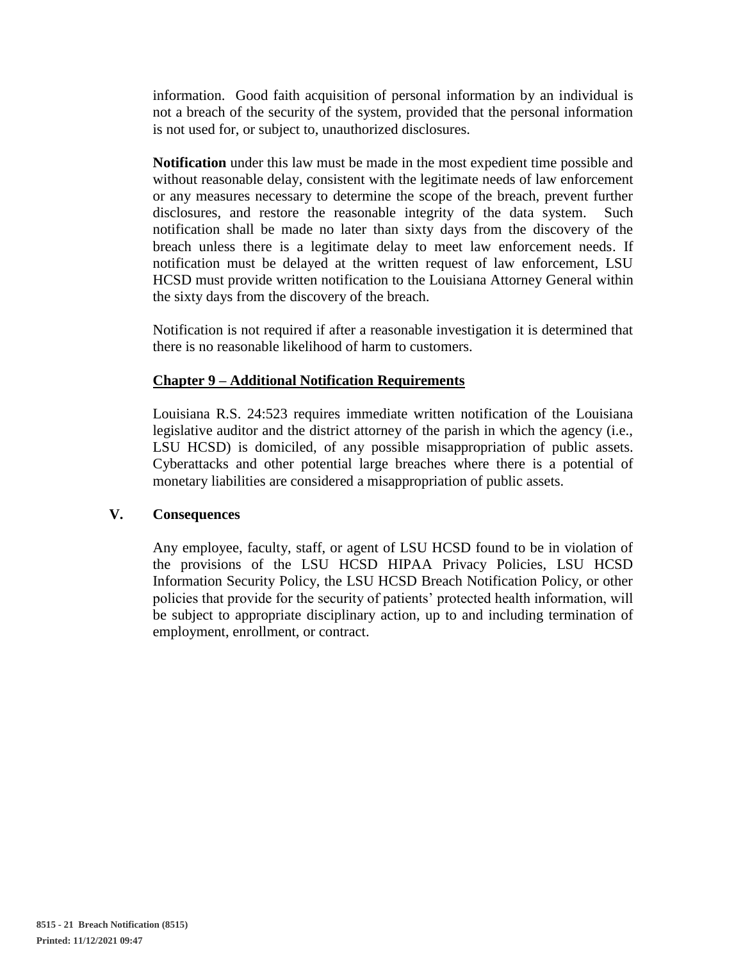information. Good faith acquisition of personal information by an individual is not a breach of the security of the system, provided that the personal information is not used for, or subject to, unauthorized disclosures.

**Notification** under this law must be made in the most expedient time possible and without reasonable delay, consistent with the legitimate needs of law enforcement or any measures necessary to determine the scope of the breach, prevent further disclosures, and restore the reasonable integrity of the data system. Such notification shall be made no later than sixty days from the discovery of the breach unless there is a legitimate delay to meet law enforcement needs. If notification must be delayed at the written request of law enforcement, LSU HCSD must provide written notification to the Louisiana Attorney General within the sixty days from the discovery of the breach.

Notification is not required if after a reasonable investigation it is determined that there is no reasonable likelihood of harm to customers.

### **Chapter 9 – Additional Notification Requirements**

Louisiana R.S. 24:523 requires immediate written notification of the Louisiana legislative auditor and the district attorney of the parish in which the agency (i.e., LSU HCSD) is domiciled, of any possible misappropriation of public assets. Cyberattacks and other potential large breaches where there is a potential of monetary liabilities are considered a misappropriation of public assets.

#### **V. Consequences**

Any employee, faculty, staff, or agent of LSU HCSD found to be in violation of the provisions of the LSU HCSD HIPAA Privacy Policies, LSU HCSD Information Security Policy, the LSU HCSD Breach Notification Policy, or other policies that provide for the security of patients' protected health information, will be subject to appropriate disciplinary action, up to and including termination of employment, enrollment, or contract.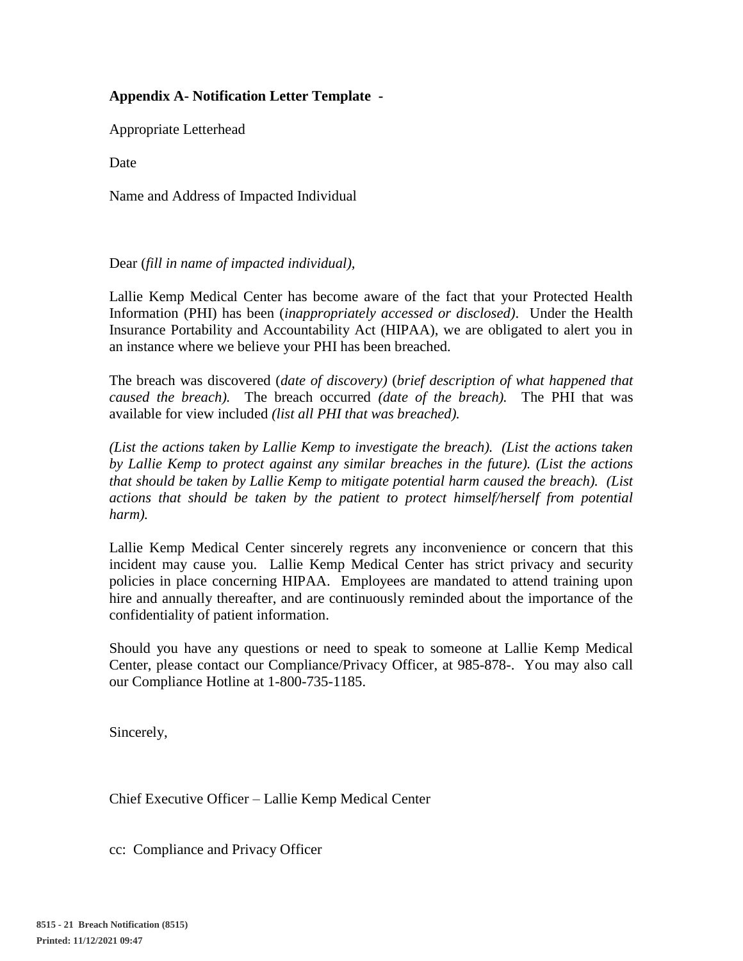# **Appendix A- Notification Letter Template -**

Appropriate Letterhead

**Date** 

Name and Address of Impacted Individual

### Dear (*fill in name of impacted individual),*

Lallie Kemp Medical Center has become aware of the fact that your Protected Health Information (PHI) has been (*inappropriately accessed or disclosed)*. Under the Health Insurance Portability and Accountability Act (HIPAA), we are obligated to alert you in an instance where we believe your PHI has been breached.

The breach was discovered (*date of discovery)* (*brief description of what happened that caused the breach).* The breach occurred *(date of the breach).* The PHI that was available for view included *(list all PHI that was breached).*

*(List the actions taken by Lallie Kemp to investigate the breach). (List the actions taken by Lallie Kemp to protect against any similar breaches in the future). (List the actions that should be taken by Lallie Kemp to mitigate potential harm caused the breach). (List actions that should be taken by the patient to protect himself/herself from potential harm).*

Lallie Kemp Medical Center sincerely regrets any inconvenience or concern that this incident may cause you. Lallie Kemp Medical Center has strict privacy and security policies in place concerning HIPAA. Employees are mandated to attend training upon hire and annually thereafter, and are continuously reminded about the importance of the confidentiality of patient information.

Should you have any questions or need to speak to someone at Lallie Kemp Medical Center, please contact our Compliance/Privacy Officer, at 985-878-. You may also call our Compliance Hotline at 1-800-735-1185.

Sincerely,

Chief Executive Officer – Lallie Kemp Medical Center

cc: Compliance and Privacy Officer